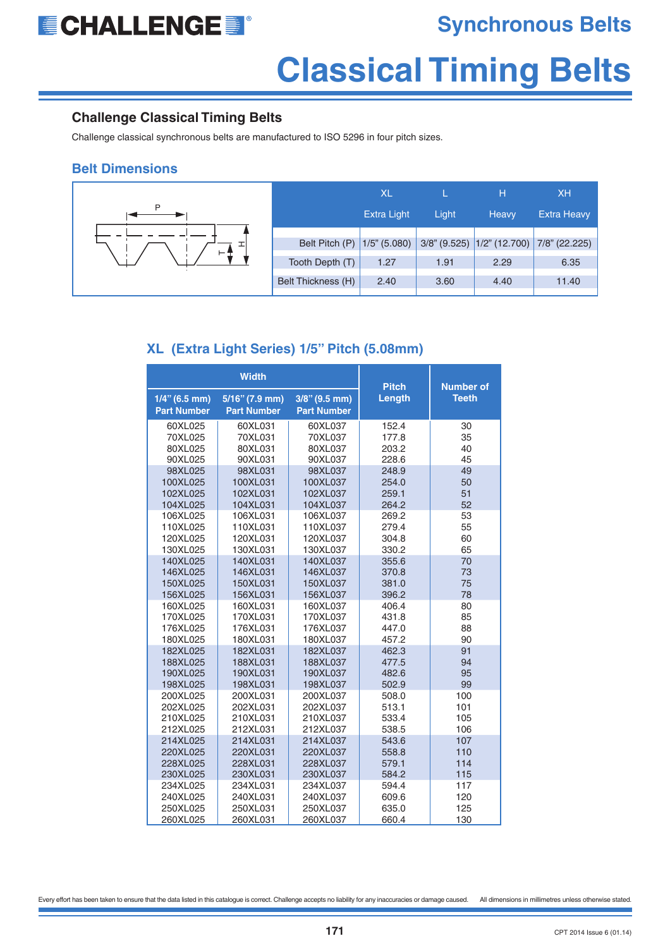

### **Synchronous Belts**

## **Classical Timing Belts**

#### **Challenge Classical Timing Belts**

Challenge classical synchronous belts are manufactured to ISO 5296 in four pitch sizes.

#### **Belt Dimensions**

|    |                    | XL                 |       | н                                | <b>XH</b>          |
|----|--------------------|--------------------|-------|----------------------------------|--------------------|
|    |                    | <b>Extra Light</b> | Light | <b>Heavy</b>                     | <b>Extra Heavy</b> |
| ⊢⊕ | Belt Pitch (P)     | $1/5$ " (5.080)    |       | $3/8$ " (9.525) $1/2$ " (12.700) | 7/8" (22.225)      |
|    | Tooth Depth (T)    | 1.27               | 1.91  | 2.29                             | 6.35               |
|    | Belt Thickness (H) | 2.40               | 3.60  | 4.40                             | 11.40              |

#### **XL (Extra Light Series) 1/5" Pitch (5.08mm)**

|                                        | <b>Width</b>                         | <b>Pitch</b>                           | <b>Number of</b> |              |
|----------------------------------------|--------------------------------------|----------------------------------------|------------------|--------------|
| $1/4$ " (6.5 mm)<br><b>Part Number</b> | 5/16" (7.9 mm)<br><b>Part Number</b> | $3/8$ " (9.5 mm)<br><b>Part Number</b> | Length           | <b>Teeth</b> |
| 60XL025                                | 60XL031                              | 60XL037                                | 152.4            | 30           |
| 70XL025                                | 70XL031                              | 70XL037                                | 177.8            | 35           |
| 80XL025                                | 80XL031                              | 80XL037                                | 203.2            | 40           |
| 90XL025                                | 90XL031                              | 90XL037                                | 228.6            | 45           |
| 98XL025                                | 98XL031                              | 98XL037                                | 248.9            | 49           |
| 100XL025                               | 100XL031                             | 100XL037                               | 254.0            | 50           |
| 102XL025                               | 102XL031                             | 102XL037                               | 259.1            | 51           |
| 104XL025                               | 104XL031                             | 104XL037                               | 264.2            | 52           |
| 106XL025                               | 106XL031                             | 106XL037                               | 269.2            | 53           |
| 110XL025                               | 110XL031                             | 110XL037                               | 279.4            | 55           |
| 120XL025                               | 120XL031                             | 120XL037                               | 304.8            | 60           |
| 130XL025                               | 130XL031                             | 130XL037                               | 330.2            | 65           |
| 140XL025                               | 140XL031                             | 140XL037                               | 355.6            | 70           |
| 146XL025<br>150XL025                   | 146XL031<br>150XL031                 | 146XL037<br>150XL037                   | 370.8<br>381.0   | 73<br>75     |
| 156XL025                               | 156XL031                             | 156XL037                               | 396.2            | 78           |
| 160XL025                               | 160XL031                             | 160XL037                               | 406.4            | 80           |
| 170XL025                               | 170XL031                             | 170XL037                               | 431.8            | 85           |
| 176XL025                               | 176XL031                             | 176XL037                               | 447.0            | 88           |
| 180XL025                               | 180XL031                             | 180XL037                               | 457.2            | 90           |
| 182XL025                               | 182XL031                             | 182XL037                               | 462.3            | 91           |
| 188XL025                               | 188XL031                             | 188XL037                               | 477.5            | 94           |
| 190XL025                               | 190XL031                             | 190XL037                               | 482.6            | 95           |
| 198XL025                               | 198XL031                             | 198XL037                               | 502.9            | 99           |
| 200XL025                               | 200XL031                             | 200XL037                               | 508.0            | 100          |
| 202XL025                               | 202XL031                             | 202XL037                               | 513.1            | 101          |
| 210XL025                               | 210XL031                             | 210XL037                               | 533.4            | 105          |
| 212XL025                               | 212XL031                             | 212XL037                               | 538.5            | 106          |
| 214XL025                               | 214XL031                             | 214XL037                               | 543.6            | 107          |
| 220XL025                               | 220XL031                             | 220XL037                               | 558.8            | 110          |
| 228XL025                               | 228XL031                             | 228XL037                               | 579.1            | 114          |
| 230XL025                               | 230XL031                             | 230XL037                               | 584.2            | 115          |
| 234XL025                               | 234XL031                             | 234XL037                               | 594.4            | 117          |
| 240XL025                               | 240XL031                             | 240XL037                               | 609.6            | 120          |
| 250XL025                               | 250XL031                             | 250XL037                               | 635.0            | 125          |
| 260XL025                               | 260XL031                             | 260XL037                               | 660.4            | 130          |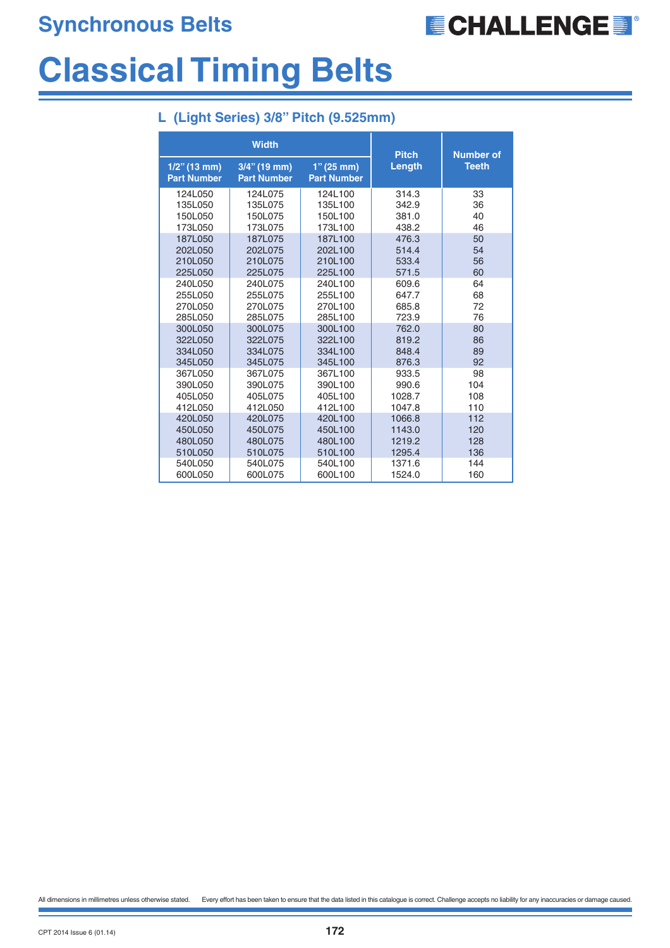

## **Classical Timing Belts**

|  |  | L (Light Series) 3/8" Pitch (9.525mm) |  |
|--|--|---------------------------------------|--|

|                                       | <b>Width</b>                          | <b>Pitch</b>                       | <b>Number of</b> |              |
|---------------------------------------|---------------------------------------|------------------------------------|------------------|--------------|
| $1/2$ " (13 mm)<br><b>Part Number</b> | $3/4$ " (19 mm)<br><b>Part Number</b> | $1"$ (25 mm)<br><b>Part Number</b> | Length           | <b>Teeth</b> |
| 124L050                               | 124L075                               | 124L100                            | 314.3            | 33           |
| 135L050                               | 135L075                               | 135L100                            | 342.9            | 36           |
| 150L050                               | 150L075                               | 150L100                            | 381.0            | 40           |
| 173L050                               | 173L075                               | 173L100                            | 438.2            | 46           |
| 187L050                               | 187L075                               | 187L100                            | 476.3            | 50           |
| 202L050                               | 202L075                               | 202L100                            | 514.4            | 54           |
| 210L050                               | 210L075                               | 210L100                            | 533.4            | 56           |
| 225L050                               | 225L075                               | 225L100                            | 571.5            | 60           |
| 240L050                               | 240L075                               | 240L100                            | 609.6            | 64           |
| 255L050                               | 255L075                               | 255L100                            | 647.7            | 68           |
| 270L050                               | 270L075                               | 270L100                            | 685.8            | 72           |
| 285L050                               | 285L075                               | 285L100                            | 723.9            | 76           |
| 300L050                               | 300L075                               | 300L100                            | 762.0            | 80           |
| 322L050                               | 322L075                               | 322L100                            | 819.2            | 86           |
| 334L050                               | 334L075                               | 334L100                            | 848.4            | 89           |
| 345L050                               | 345L075                               | 345L100                            | 876.3            | 92           |
| 367L050                               | 367L075                               | 367L100                            | 933.5            | 98           |
| 390L050                               | 390L075                               | 390L100                            | 990.6            | 104          |
| 405L050                               | 405L075                               | 405L100                            | 1028.7           | 108          |
| 412L050                               | 412L050                               | 412L100                            | 1047.8           | 110          |
| 420L050                               | 420L075                               | 420L100                            | 1066.8           | 112          |
| 450L050                               | 450L075                               | 450L100                            | 1143.0           | 120          |
| 480L050                               | 480L075                               | 480L100                            | 1219.2           | 128          |
| 510L050                               | 510L075                               | 510L100                            | 1295.4           | 136          |
| 540L050                               | 540L075                               | 540L100                            | 1371.6           | 144          |
| 600L050                               | 600L075                               | 600L100                            | 1524.0           | 160          |

All dimensions in millimetres unless otherwise stated. Every effort has been taken to ensure that the data listed in this catalogue is correct. Challenge accepts no liability for any inaccuracies or damage caused.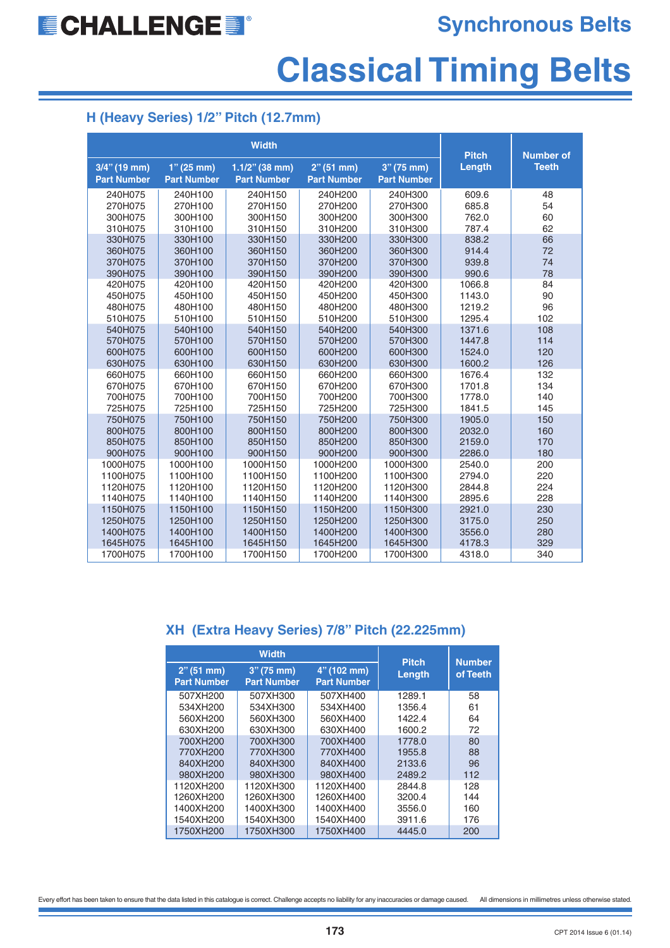# **Classical Timing Belts**

#### **H (Heavy Series) 1/2" Pitch (12.7mm)**

|                                       |                                    | <b>Pitch</b>                            | <b>Number of</b>                      |                                    |        |              |
|---------------------------------------|------------------------------------|-----------------------------------------|---------------------------------------|------------------------------------|--------|--------------|
| $3/4$ " (19 mm)<br><b>Part Number</b> | $1''(25$ mm)<br><b>Part Number</b> | $1.1/2$ " (38 mm)<br><b>Part Number</b> | $2^{n}$ (51 mm)<br><b>Part Number</b> | $3''(75$ mm)<br><b>Part Number</b> | Length | <b>Teeth</b> |
| 240H075                               | 240H100                            | 240H150                                 | 240H200                               | 240H300                            | 609.6  | 48           |
| 270H075                               | 270H100                            | 270H150                                 | 270H200                               | 270H300                            | 685.8  | 54           |
| 300H075                               | 300H100                            | 300H150                                 | 300H200                               | 300H300                            | 762.0  | 60           |
| 310H075                               | 310H100                            | 310H150                                 | 310H200                               | 310H300                            | 787.4  | 62           |
| 330H075                               | 330H100                            | 330H150                                 | 330H200                               | 330H300                            | 838.2  | 66           |
| 360H075                               | 360H100                            | 360H150                                 | 360H200                               | 360H300                            | 914.4  | 72           |
| 370H075                               | 370H100                            | 370H150                                 | 370H200                               | 370H300                            | 939.8  | 74           |
| 390H075                               | 390H100                            | 390H150                                 | 390H200                               | 390H300                            | 990.6  | 78           |
| 420H075                               | 420H100                            | 420H150                                 | 420H200                               | 420H300                            | 1066.8 | 84           |
| 450H075                               | 450H100                            | 450H150                                 | 450H200                               | 450H300                            | 1143.0 | 90           |
| 480H075                               | 480H100                            | 480H150                                 | 480H200                               | 480H300                            | 1219.2 | 96           |
| 510H075                               | 510H100                            | 510H150                                 | 510H200                               | 510H300                            | 1295.4 | 102          |
| 540H075                               | 540H100                            | 540H150                                 | 540H200                               | 540H300                            | 1371.6 | 108          |
| 570H075                               | 570H100                            | 570H150                                 | 570H200                               | 570H300                            | 1447.8 | 114          |
| 600H075                               | 600H100                            | 600H150                                 | 600H200                               | 600H300                            | 1524.0 | 120          |
| 630H075                               | 630H100                            | 630H150                                 | 630H200                               | 630H300                            | 1600.2 | 126          |
| 660H075                               | 660H100                            | 660H150                                 | 660H200                               | 660H300                            | 1676.4 | 132          |
| 670H075                               | 670H100                            | 670H150                                 | 670H200                               | 670H300                            | 1701.8 | 134          |
| 700H075                               | 700H100                            | 700H150                                 | 700H200                               | 700H300                            | 1778.0 | 140          |
| 725H075                               | 725H100                            | 725H150                                 | 725H200                               | 725H300                            | 1841.5 | 145          |
| 750H075                               | 750H100                            | 750H150                                 | 750H200                               | 750H300                            | 1905.0 | 150          |
| 800H075                               | 800H100                            | 800H150                                 | 800H200                               | 800H300                            | 2032.0 | 160          |
| 850H075                               | 850H100                            | 850H150                                 | 850H200                               | 850H300                            | 2159.0 | 170          |
| 900H075                               | 900H100                            | 900H150                                 | 900H200                               | 900H300                            | 2286.0 | 180          |
| 1000H075                              | 1000H100                           | 1000H150                                | 1000H200                              | 1000H300                           | 2540.0 | 200          |
| 1100H075                              | 1100H100                           | 1100H150                                | 1100H200                              | 1100H300                           | 2794.0 | 220          |
| 1120H075                              | 1120H100                           | 1120H150                                | 1120H200                              | 1120H300                           | 2844.8 | 224          |
| 1140H075                              | 1140H100                           | 1140H150                                | 1140H200                              | 1140H300                           | 2895.6 | 228          |
| 1150H075                              | 1150H100                           | 1150H150                                | 1150H200                              | 1150H300                           | 2921.0 | 230          |
| 1250H075                              | 1250H100                           | 1250H150                                | 1250H200                              | 1250H300                           | 3175.0 | 250          |
| 1400H075                              | 1400H100                           | 1400H150                                | 1400H200                              | 1400H300                           | 3556.0 | 280          |
| 1645H075                              | 1645H100                           | 1645H150                                | 1645H200                              | 1645H300                           | 4178.3 | 329          |
| 1700H075                              | 1700H100                           | 1700H150                                | 1700H200                              | 1700H300                           | 4318.0 | 340          |

#### **XH (Extra Heavy Series) 7/8" Pitch (22.225mm)**

|                                  | <b>Width</b>                       | <b>Pitch</b>                      | <b>Number</b> |          |
|----------------------------------|------------------------------------|-----------------------------------|---------------|----------|
| 2" (51 mm)<br><b>Part Number</b> | $3''(75$ mm)<br><b>Part Number</b> | 4" (102 mm)<br><b>Part Number</b> | Length        | of Teeth |
| 507XH200                         | 507XH300                           | 507XH400                          | 1289.1        | 58       |
| 534XH200                         | 534XH300                           | 534XH400                          | 1356.4        | 61       |
| 560XH200                         | 560XH300                           | 560XH400                          | 1422.4        | 64       |
| 630XH200                         | 630XH300                           | 630XH400                          | 1600.2        | 72       |
| 700XH200                         | 700XH300                           | 700XH400                          | 1778.0        | 80       |
| 770XH200                         | 770XH300                           | 770XH400                          | 1955.8        | 88       |
| 840XH200                         | 840XH300                           | 840XH400                          | 2133.6        | 96       |
| 980XH200                         | 980XH300                           | 980XH400                          | 2489.2        | 112      |
| 1120XH200                        | 1120XH300                          | 1120XH400                         | 2844.8        | 128      |
| 1260XH200                        | 1260XH300                          | 1260XH400                         | 3200.4        | 144      |
| 1400XH200                        | 1400XH300                          | 1400XH400                         | 3556.0        | 160      |
| 1540XH200                        | 1540XH300                          | 1540XH400                         | 3911.6        | 176      |
| 1750XH200                        | 1750XH300                          | 1750XH400                         | 4445.0        | 200      |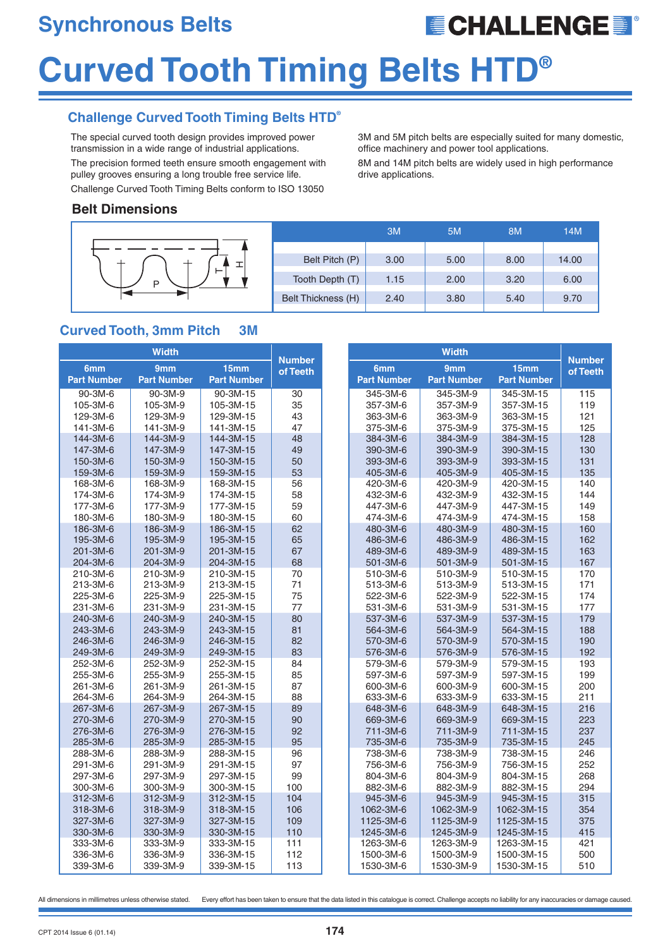## **Synchronous Belts**

## **ECHALLENGE E**

# **Curved Tooth Timing Belts HTD®**

#### **Challenge Curved Tooth Timing Belts HTD®**

The special curved tooth design provides improved power transmission in a wide range of industrial applications. The precision formed teeth ensure smooth engagement with pulley grooves ensuring a long trouble free service life. Challenge Curved Tooth Timing Belts conform to ISO 13050

3M and 5M pitch belts are especially suited for many domestic, office machinery and power tool applications.

8M and 14M pitch belts are widely used in high performance drive applications.

#### **Belt Dimensions**

|                  |                    | 3M   | 5M   | 8M   | 14M   |
|------------------|--------------------|------|------|------|-------|
|                  |                    |      |      |      |       |
| $\mathbf +$<br>⋼ | Belt Pitch (P)     | 3.00 | 5.00 | 8.00 | 14.00 |
|                  | Tooth Depth (T)    | 1.15 | 2.00 | 3.20 | 6.00  |
|                  | Belt Thickness (H) | 2.40 | 3.80 | 5.40 | 9.70  |

#### **Curved Tooth, 3mm Pitch 3M**

|                    | <b>Width</b>       |                    | <b>Number</b> | <b>Width</b>       |                    |                    | <b>Number</b> |
|--------------------|--------------------|--------------------|---------------|--------------------|--------------------|--------------------|---------------|
| 6mm                | 9 <sub>mm</sub>    | 15mm               | of Teeth      | 6mm                | 9mm                | 15mm               | of Teeth      |
| <b>Part Number</b> | <b>Part Number</b> | <b>Part Number</b> |               | <b>Part Number</b> | <b>Part Number</b> | <b>Part Number</b> |               |
| $90 - 3M - 6$      | $90 - 3M - 9$      | 90-3M-15           | 30            | 345-3M-6           | 345-3M-9           | 345-3M-15          | 115           |
| 105-3M-6           | 105-3M-9           | 105-3M-15          | 35            | 357-3M-6           | 357-3M-9           | 357-3M-15          | 119           |
| 129-3M-6           | 129-3M-9           | 129-3M-15          | 43            | 363-3M-6           | 363-3M-9           | 363-3M-15          | 121           |
| 141-3M-6           | 141-3M-9           | 141-3M-15          | 47            | 375-3M-6           | 375-3M-9           | 375-3M-15          | 125           |
| 144-3M-6           | 144-3M-9           | 144-3M-15          | 48            | 384-3M-6           | 384-3M-9           | 384-3M-15          | 128           |
| 147-3M-6           | 147-3M-9           | 147-3M-15          | 49            | 390-3M-6           | 390-3M-9           | 390-3M-15          | 130           |
| 150-3M-6           | 150-3M-9           | 150-3M-15          | 50            | 393-3M-6           | 393-3M-9           | 393-3M-15          | 131           |
| 159-3M-6           | 159-3M-9           | 159-3M-15          | 53            | 405-3M-6           | 405-3M-9           | 405-3M-15          | 135           |
| 168-3M-6           | 168-3M-9           | 168-3M-15          | 56            | 420-3M-6           | 420-3M-9           | 420-3M-15          | 140           |
| 174-3M-6           | 174-3M-9           | 174-3M-15          | 58            | 432-3M-6           | 432-3M-9           | 432-3M-15          | 144           |
| 177-3M-6           | 177-3M-9           | 177-3M-15          | 59            | 447-3M-6           | 447-3M-9           | 447-3M-15          | 149           |
| 180-3M-6           | 180-3M-9           | 180-3M-15          | 60            | 474-3M-6           | 474-3M-9           | 474-3M-15          | 158           |
| 186-3M-6           | 186-3M-9           | 186-3M-15          | 62            | 480-3M-6           | 480-3M-9           | 480-3M-15          | 160           |
| 195-3M-6           | 195-3M-9           | 195-3M-15          | 65            | 486-3M-6           | 486-3M-9           | 486-3M-15          | 162           |
| 201-3M-6           | 201-3M-9           | 201-3M-15          | 67            | 489-3M-6           | 489-3M-9           | 489-3M-15          | 163           |
| 204-3M-6           | 204-3M-9           | 204-3M-15          | 68            | 501-3M-6           | 501-3M-9           | 501-3M-15          | 167           |
| 210-3M-6           | 210-3M-9           | 210-3M-15          | 70            | 510-3M-6           | 510-3M-9           | 510-3M-15          | 170           |
| 213-3M-6           | 213-3M-9           | 213-3M-15          | 71            | 513-3M-6           | 513-3M-9           | 513-3M-15          | 171           |
| 225-3M-6           | 225-3M-9           | 225-3M-15          | 75            | 522-3M-6           | 522-3M-9           | 522-3M-15          | 174           |
| 231-3M-6           | 231-3M-9           | 231-3M-15          | 77            | 531-3M-6           | 531-3M-9           | 531-3M-15          | 177           |
| 240-3M-6           | 240-3M-9           | 240-3M-15          | 80            | 537-3M-6           | 537-3M-9           | 537-3M-15          | 179           |
| 243-3M-6           | 243-3M-9           | 243-3M-15          | 81            | 564-3M-6           | 564-3M-9           | 564-3M-15          | 188           |
| 246-3M-6           | 246-3M-9           | 246-3M-15          | 82            | 570-3M-6           | 570-3M-9           | 570-3M-15          | 190           |
| 249-3M-6           | 249-3M-9           | 249-3M-15          | 83            | 576-3M-6           | 576-3M-9           | 576-3M-15          | 192           |
| 252-3M-6           | 252-3M-9           | 252-3M-15          | 84            | 579-3M-6           | 579-3M-9           | 579-3M-15          | 193           |
| 255-3M-6           | 255-3M-9           | 255-3M-15          | 85            | 597-3M-6           | 597-3M-9           | 597-3M-15          | 199           |
| 261-3M-6           | 261-3M-9           | 261-3M-15          | 87            | 600-3M-6           | 600-3M-9           | 600-3M-15          | 200           |
| 264-3M-6           | 264-3M-9           | 264-3M-15          | 88            | 633-3M-6           | 633-3M-9           | 633-3M-15          | 211           |
| 267-3M-6           | 267-3M-9           | 267-3M-15          | 89            | 648-3M-6           | 648-3M-9           | 648-3M-15          | 216           |
| 270-3M-6           | 270-3M-9           | 270-3M-15          | 90            | 669-3M-6           | 669-3M-9           | 669-3M-15          | 223           |
| 276-3M-6           | 276-3M-9           | 276-3M-15          | 92            | 711-3M-6           | 711-3M-9           | 711-3M-15          | 237           |
| 285-3M-6           | 285-3M-9           | 285-3M-15          | 95            | 735-3M-6           | 735-3M-9           | 735-3M-15          | 245           |
| 288-3M-6           | 288-3M-9           | 288-3M-15          | 96            | 738-3M-6           | 738-3M-9           | 738-3M-15          | 246           |
| 291-3M-6           | 291-3M-9           | 291-3M-15          | 97            | 756-3M-6           | 756-3M-9           | 756-3M-15          | 252           |
| 297-3M-6           | 297-3M-9           | 297-3M-15          | 99            | 804-3M-6           | 804-3M-9           | 804-3M-15          | 268           |
| 300-3M-6           | 300-3M-9           | 300-3M-15          | 100           | 882-3M-6           | 882-3M-9           | 882-3M-15          | 294           |
| 312-3M-6           | 312-3M-9           | 312-3M-15          | 104           | 945-3M-6           | 945-3M-9           | 945-3M-15          | 315           |
| 318-3M-6           | 318-3M-9           | 318-3M-15          | 106           | 1062-3M-6          | 1062-3M-9          | 1062-3M-15         | 354           |
| 327-3M-6           | 327-3M-9           | 327-3M-15          | 109           | 1125-3M-6          | 1125-3M-9          | 1125-3M-15         | 375           |
| 330-3M-6           | 330-3M-9           | 330-3M-15          | 110           | 1245-3M-6          | 1245-3M-9          | 1245-3M-15         | 415           |
| 333-3M-6           | 333-3M-9           | 333-3M-15          | 111           | 1263-3M-6          | 1263-3M-9          | 1263-3M-15         | 421           |
| 336-3M-6           | 336-3M-9           | 336-3M-15          | 112           | 1500-3M-6          | 1500-3M-9          | 1500-3M-15         | 500           |
| 339-3M-6           | 339-3M-9           | 339-3M-15          | 113           | 1530-3M-6          | 1530-3M-9          | 1530-3M-15         | 510           |

All dimensions in millimetres unless otherwise stated. Every effort has been taken to ensure that the data listed in this catalogue is correct. Challenge accepts no liability for any inaccuracies or damage caused.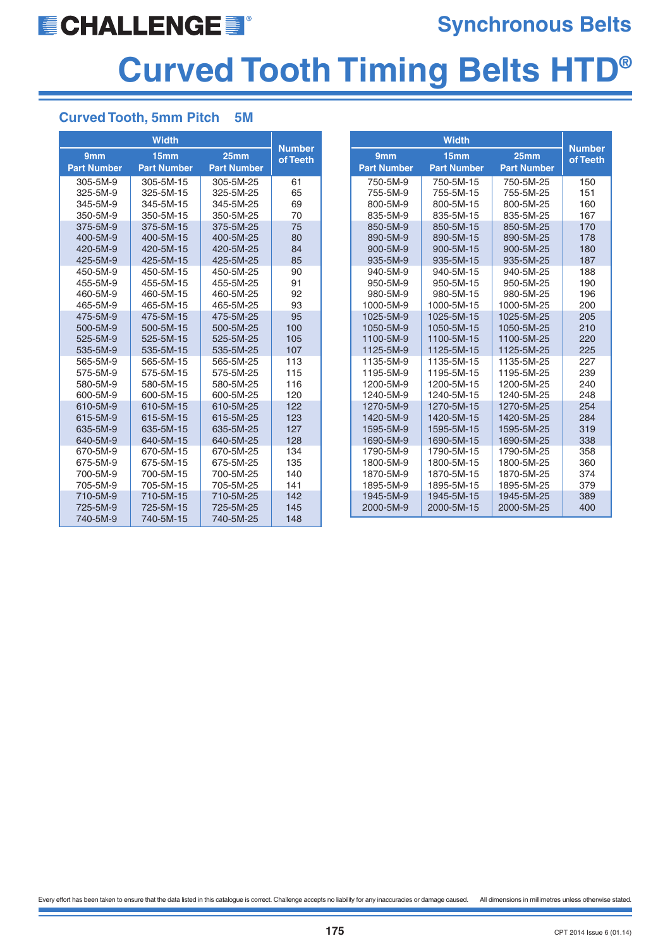## **ECHALLENGES**

### **Synchronous Belts**

# **Curved Tooth Timing Belts HTD®**

#### **Curved Tooth, 5mm Pitch 5M**

|                      | <b>Width</b>           |                        | Number     |
|----------------------|------------------------|------------------------|------------|
| 9 <sub>mm</sub>      | 15mm                   | 25 <sub>mm</sub>       | of Teeth   |
| <b>Part Number</b>   | <b>Part Number</b>     | <b>Part Number</b>     |            |
| 305-5M-9             | 305-5M-15              | 305-5M-25              | 61         |
| 325-5M-9             | 325-5M-15              | 325-5M-25              | 65         |
| 345-5M-9             | 345-5M-15              | 345-5M-25              | 69         |
| 350-5M-9             | 350-5M-15              | 350-5M-25              | 70         |
| 375-5M-9             | 375-5M-15              | 375-5M-25              | 75         |
| 400-5M-9             | 400-5M-15              | 400-5M-25              | 80         |
| 420-5M-9             | 420-5M-15              | 420-5M-25              | 84         |
| 425-5M-9             | 425-5M-15              | 425-5M-25              | 85         |
| 450-5M-9             | 450-5M-15              | 450-5M-25              | 90         |
| 455-5M-9             | 455-5M-15              | 455-5M-25              | 91         |
| 460-5M-9             | 460-5M-15              | 460-5M-25              | 92         |
| 465-5M-9             | 465-5M-15              | 465-5M-25              | 93         |
| 475-5M-9<br>500-5M-9 | 475-5M-15<br>500-5M-15 | 475-5M-25<br>500-5M-25 | 95         |
| 525-5M-9             | 525-5M-15              |                        | 100        |
| 535-5M-9             | 535-5M-15              | 525-5M-25<br>535-5M-25 | 105<br>107 |
| 565-5M-9             | 565-5M-15              | 565-5M-25              | 113        |
| 575-5M-9             | 575-5M-15              | 575-5M-25              | 115        |
| 580-5M-9             | 580-5M-15              | 580-5M-25              | 116        |
| 600-5M-9             | 600-5M-15              | 600-5M-25              | 120        |
| 610-5M-9             | 610-5M-15              | 610-5M-25              | 122        |
| 615-5M-9             | 615-5M-15              | 615-5M-25              | 123        |
| 635-5M-9             | 635-5M-15              | 635-5M-25              | 127        |
| 640-5M-9             | 640-5M-15              | 640-5M-25              | 128        |
| 670-5M-9             | 670-5M-15              | 670-5M-25              | 134        |
| 675-5M-9             | 675-5M-15              | 675-5M-25              | 135        |
| 700-5M-9             | 700-5M-15              | 700-5M-25              | 140        |
| 705-5M-9             | 705-5M-15              | 705-5M-25              | 141        |
| 710-5M-9             | 710-5M-15              | 710-5M-25              | 142        |
| 725-5M-9             | 725-5M-15              | 725-5M-25              | 145        |
| 740-5M-9             | 740-5M-15              | 740-5M-25              | 148        |

|                        | <b>Width</b>             |                          |                           |
|------------------------|--------------------------|--------------------------|---------------------------|
| 9 <sub>mm</sub>        | 15 <sub>mm</sub>         | 25 <sub>mm</sub>         | <b>Number</b><br>of Teeth |
| <b>Part Number</b>     | <b>Part Number</b>       | <b>Part Number</b>       |                           |
| 750-5M-9               | 750-5M-15                | 750-5M-25                | 150                       |
| 755-5M-9               | 755-5M-15                | 755-5M-25                | 151                       |
| 800-5M-9               | 800-5M-15                | 800-5M-25                | 160                       |
| 835-5M-9               | 835-5M-15                | 835-5M-25                | 167                       |
| 850-5M-9               | 850-5M-15                | 850-5M-25                | 170                       |
| 890-5M-9               | 890-5M-15                | 890-5M-25                | 178                       |
| 900-5M-9               | 900-5M-15                | 900-5M-25                | 180                       |
| 935-5M-9               | 935-5M-15                | 935-5M-25                | 187                       |
| 940-5M-9               | 940-5M-15                | 940-5M-25                | 188                       |
| 950-5M-9               | 950-5M-15                | 950-5M-25                | 190                       |
| 980-5M-9               | 980-5M-15                | 980-5M-25                | 196                       |
| 1000-5M-9              | 1000-5M-15               | 1000-5M-25               | 200                       |
| 1025-5M-9              | 1025-5M-15               | 1025-5M-25               | 205                       |
| 1050-5M-9              | 1050-5M-15               | 1050-5M-25               | 210                       |
| 1100-5M-9              | 1100-5M-15               | 1100-5M-25               | 220                       |
| 1125-5M-9              | 1125-5M-15               | 1125-5M-25               | 225                       |
| 1135-5M-9              | 1135-5M-15               | 1135-5M-25               | 227                       |
| 1195-5M-9              | 1195-5M-15               | 1195-5M-25               | 239                       |
| 1200-5M-9              | 1200-5M-15               | 1200-5M-25               | 240                       |
| 1240-5M-9<br>1270-5M-9 | 1240-5M-15<br>1270-5M-15 | 1240-5M-25<br>1270-5M-25 | 248<br>254                |
| 1420-5M-9              | 1420-5M-15               | 1420-5M-25               | 284                       |
| 1595-5M-9              | 1595-5M-15               | 1595-5M-25               | 319                       |
| 1690-5M-9              | 1690-5M-15               | 1690-5M-25               | 338                       |
| 1790-5M-9              | 1790-5M-15               | 1790-5M-25               | 358                       |
| 1800-5M-9              | 1800-5M-15               | 1800-5M-25               | 360                       |
| 1870-5M-9              | 1870-5M-15               | 1870-5M-25               | 374                       |
| 1895-5M-9              | 1895-5M-15               | 1895-5M-25               | 379                       |
| 1945-5M-9              | 1945-5M-15               | 1945-5M-25               | 389                       |
| 2000-5M-9              | 2000-5M-15               | 2000-5M-25               | 400                       |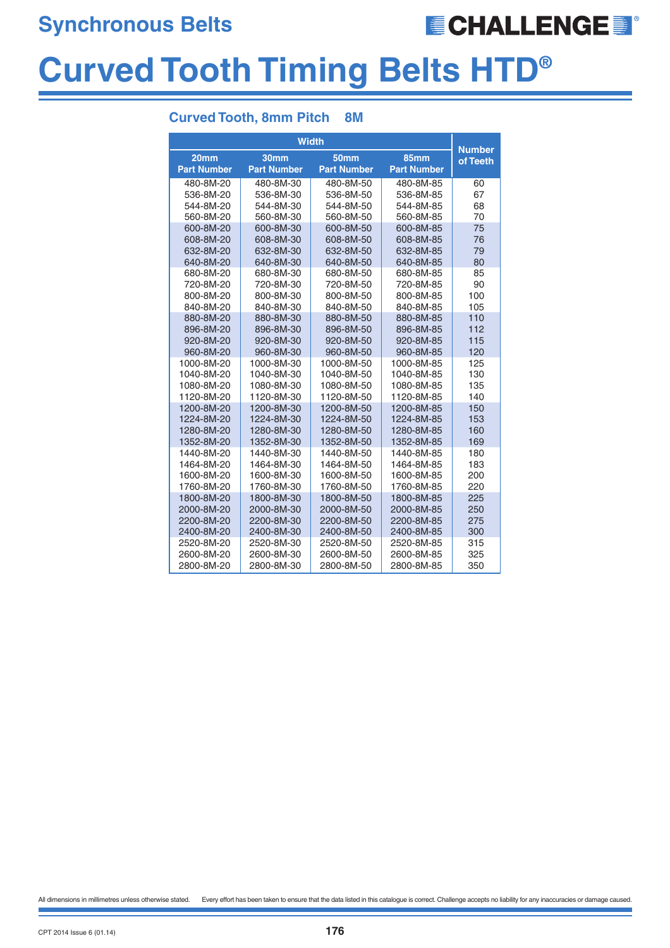**Synchronous Belts**

## **ECHALLENGES**

## **Curved Tooth Timing Belts HTD®**

#### **Curved Tooth, 8mm Pitch 8M**

| <b>Width</b>     |                                                                                                                                                                                                                                                                                                                                                                                    |                                                                                                                                                                                                                                                                                                                                                                                    |                                                                                                                                                                                                                                                                                                                                                                                                   |  |  |
|------------------|------------------------------------------------------------------------------------------------------------------------------------------------------------------------------------------------------------------------------------------------------------------------------------------------------------------------------------------------------------------------------------|------------------------------------------------------------------------------------------------------------------------------------------------------------------------------------------------------------------------------------------------------------------------------------------------------------------------------------------------------------------------------------|---------------------------------------------------------------------------------------------------------------------------------------------------------------------------------------------------------------------------------------------------------------------------------------------------------------------------------------------------------------------------------------------------|--|--|
| 30 <sub>mm</sub> | 50 <sub>mm</sub>                                                                                                                                                                                                                                                                                                                                                                   |                                                                                                                                                                                                                                                                                                                                                                                    | <b>Number</b><br>of Teeth                                                                                                                                                                                                                                                                                                                                                                         |  |  |
|                  |                                                                                                                                                                                                                                                                                                                                                                                    |                                                                                                                                                                                                                                                                                                                                                                                    |                                                                                                                                                                                                                                                                                                                                                                                                   |  |  |
|                  |                                                                                                                                                                                                                                                                                                                                                                                    |                                                                                                                                                                                                                                                                                                                                                                                    | 60                                                                                                                                                                                                                                                                                                                                                                                                |  |  |
|                  |                                                                                                                                                                                                                                                                                                                                                                                    |                                                                                                                                                                                                                                                                                                                                                                                    | 67                                                                                                                                                                                                                                                                                                                                                                                                |  |  |
|                  |                                                                                                                                                                                                                                                                                                                                                                                    |                                                                                                                                                                                                                                                                                                                                                                                    | 68<br>70                                                                                                                                                                                                                                                                                                                                                                                          |  |  |
|                  |                                                                                                                                                                                                                                                                                                                                                                                    |                                                                                                                                                                                                                                                                                                                                                                                    | 75                                                                                                                                                                                                                                                                                                                                                                                                |  |  |
|                  |                                                                                                                                                                                                                                                                                                                                                                                    |                                                                                                                                                                                                                                                                                                                                                                                    | 76                                                                                                                                                                                                                                                                                                                                                                                                |  |  |
|                  |                                                                                                                                                                                                                                                                                                                                                                                    |                                                                                                                                                                                                                                                                                                                                                                                    | 79                                                                                                                                                                                                                                                                                                                                                                                                |  |  |
|                  |                                                                                                                                                                                                                                                                                                                                                                                    |                                                                                                                                                                                                                                                                                                                                                                                    | 80                                                                                                                                                                                                                                                                                                                                                                                                |  |  |
|                  |                                                                                                                                                                                                                                                                                                                                                                                    |                                                                                                                                                                                                                                                                                                                                                                                    | 85                                                                                                                                                                                                                                                                                                                                                                                                |  |  |
|                  |                                                                                                                                                                                                                                                                                                                                                                                    |                                                                                                                                                                                                                                                                                                                                                                                    | 90                                                                                                                                                                                                                                                                                                                                                                                                |  |  |
|                  |                                                                                                                                                                                                                                                                                                                                                                                    |                                                                                                                                                                                                                                                                                                                                                                                    | 100                                                                                                                                                                                                                                                                                                                                                                                               |  |  |
|                  |                                                                                                                                                                                                                                                                                                                                                                                    |                                                                                                                                                                                                                                                                                                                                                                                    | 105                                                                                                                                                                                                                                                                                                                                                                                               |  |  |
| 880-8M-30        | 880-8M-50                                                                                                                                                                                                                                                                                                                                                                          | 880-8M-85                                                                                                                                                                                                                                                                                                                                                                          | 110                                                                                                                                                                                                                                                                                                                                                                                               |  |  |
| 896-8M-30        | 896-8M-50                                                                                                                                                                                                                                                                                                                                                                          | 896-8M-85                                                                                                                                                                                                                                                                                                                                                                          | 112                                                                                                                                                                                                                                                                                                                                                                                               |  |  |
| 920-8M-30        | 920-8M-50                                                                                                                                                                                                                                                                                                                                                                          | 920-8M-85                                                                                                                                                                                                                                                                                                                                                                          | 115                                                                                                                                                                                                                                                                                                                                                                                               |  |  |
| 960-8M-30        | 960-8M-50                                                                                                                                                                                                                                                                                                                                                                          | 960-8M-85                                                                                                                                                                                                                                                                                                                                                                          | 120                                                                                                                                                                                                                                                                                                                                                                                               |  |  |
| 1000-8M-30       | 1000-8M-50                                                                                                                                                                                                                                                                                                                                                                         | 1000-8M-85                                                                                                                                                                                                                                                                                                                                                                         | 125                                                                                                                                                                                                                                                                                                                                                                                               |  |  |
| 1040-8M-30       | 1040-8M-50                                                                                                                                                                                                                                                                                                                                                                         | 1040-8M-85                                                                                                                                                                                                                                                                                                                                                                         | 130                                                                                                                                                                                                                                                                                                                                                                                               |  |  |
| 1080-8M-30       | 1080-8M-50                                                                                                                                                                                                                                                                                                                                                                         | 1080-8M-85                                                                                                                                                                                                                                                                                                                                                                         | 135                                                                                                                                                                                                                                                                                                                                                                                               |  |  |
| 1120-8M-30       | 1120-8M-50                                                                                                                                                                                                                                                                                                                                                                         | 1120-8M-85                                                                                                                                                                                                                                                                                                                                                                         | 140                                                                                                                                                                                                                                                                                                                                                                                               |  |  |
| 1200-8M-30       | 1200-8M-50                                                                                                                                                                                                                                                                                                                                                                         | 1200-8M-85                                                                                                                                                                                                                                                                                                                                                                         | 150                                                                                                                                                                                                                                                                                                                                                                                               |  |  |
|                  |                                                                                                                                                                                                                                                                                                                                                                                    |                                                                                                                                                                                                                                                                                                                                                                                    | 153                                                                                                                                                                                                                                                                                                                                                                                               |  |  |
|                  |                                                                                                                                                                                                                                                                                                                                                                                    |                                                                                                                                                                                                                                                                                                                                                                                    | 160                                                                                                                                                                                                                                                                                                                                                                                               |  |  |
|                  |                                                                                                                                                                                                                                                                                                                                                                                    |                                                                                                                                                                                                                                                                                                                                                                                    | 169                                                                                                                                                                                                                                                                                                                                                                                               |  |  |
|                  |                                                                                                                                                                                                                                                                                                                                                                                    |                                                                                                                                                                                                                                                                                                                                                                                    | 180                                                                                                                                                                                                                                                                                                                                                                                               |  |  |
|                  |                                                                                                                                                                                                                                                                                                                                                                                    |                                                                                                                                                                                                                                                                                                                                                                                    | 183                                                                                                                                                                                                                                                                                                                                                                                               |  |  |
|                  |                                                                                                                                                                                                                                                                                                                                                                                    |                                                                                                                                                                                                                                                                                                                                                                                    | 200                                                                                                                                                                                                                                                                                                                                                                                               |  |  |
|                  |                                                                                                                                                                                                                                                                                                                                                                                    |                                                                                                                                                                                                                                                                                                                                                                                    | 220                                                                                                                                                                                                                                                                                                                                                                                               |  |  |
|                  |                                                                                                                                                                                                                                                                                                                                                                                    |                                                                                                                                                                                                                                                                                                                                                                                    | 225                                                                                                                                                                                                                                                                                                                                                                                               |  |  |
|                  |                                                                                                                                                                                                                                                                                                                                                                                    |                                                                                                                                                                                                                                                                                                                                                                                    | 250<br>275                                                                                                                                                                                                                                                                                                                                                                                        |  |  |
|                  |                                                                                                                                                                                                                                                                                                                                                                                    |                                                                                                                                                                                                                                                                                                                                                                                    | 300                                                                                                                                                                                                                                                                                                                                                                                               |  |  |
|                  |                                                                                                                                                                                                                                                                                                                                                                                    |                                                                                                                                                                                                                                                                                                                                                                                    | 315                                                                                                                                                                                                                                                                                                                                                                                               |  |  |
|                  |                                                                                                                                                                                                                                                                                                                                                                                    |                                                                                                                                                                                                                                                                                                                                                                                    | 325                                                                                                                                                                                                                                                                                                                                                                                               |  |  |
|                  |                                                                                                                                                                                                                                                                                                                                                                                    |                                                                                                                                                                                                                                                                                                                                                                                    | 350                                                                                                                                                                                                                                                                                                                                                                                               |  |  |
|                  | <b>Part Number</b><br>480-8M-30<br>536-8M-30<br>544-8M-30<br>560-8M-30<br>600-8M-30<br>608-8M-30<br>632-8M-30<br>640-8M-30<br>680-8M-30<br>720-8M-30<br>800-8M-30<br>840-8M-30<br>1224-8M-30<br>1280-8M-30<br>1352-8M-30<br>1440-8M-30<br>1464-8M-30<br>1600-8M-30<br>1760-8M-30<br>1800-8M-30<br>2000-8M-30<br>2200-8M-30<br>2400-8M-30<br>2520-8M-30<br>2600-8M-30<br>2800-8M-30 | <b>Part Number</b><br>480-8M-50<br>536-8M-50<br>544-8M-50<br>560-8M-50<br>600-8M-50<br>608-8M-50<br>632-8M-50<br>640-8M-50<br>680-8M-50<br>720-8M-50<br>800-8M-50<br>840-8M-50<br>1224-8M-50<br>1280-8M-50<br>1352-8M-50<br>1440-8M-50<br>1464-8M-50<br>1600-8M-50<br>1760-8M-50<br>1800-8M-50<br>2000-8M-50<br>2200-8M-50<br>2400-8M-50<br>2520-8M-50<br>2600-8M-50<br>2800-8M-50 | <b>85mm</b><br><b>Part Number</b><br>480-8M-85<br>536-8M-85<br>544-8M-85<br>560-8M-85<br>600-8M-85<br>608-8M-85<br>632-8M-85<br>640-8M-85<br>680-8M-85<br>720-8M-85<br>800-8M-85<br>840-8M-85<br>1224-8M-85<br>1280-8M-85<br>1352-8M-85<br>1440-8M-85<br>1464-8M-85<br>1600-8M-85<br>1760-8M-85<br>1800-8M-85<br>2000-8M-85<br>2200-8M-85<br>2400-8M-85<br>2520-8M-85<br>2600-8M-85<br>2800-8M-85 |  |  |

All dimensions in millimetres unless otherwise stated. Every effort has been taken to ensure that the data listed in this catalogue is correct. Challenge accepts no liability for any inaccuracies or damage caused.